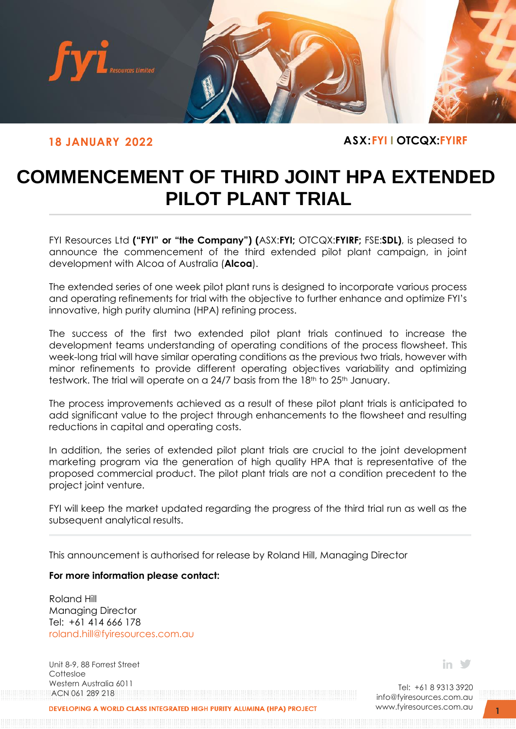

**18 JANUARY 2022 ASX:FYI I OTCQX:FYIRF**

## **COMMENCEMENT OF THIRD JOINT HPA EXTENDED PILOT PLANT TRIAL**

FYI Resources Ltd **("FYI" or "the Company") (**ASX:**FYI;** OTCQX:**FYIRF;** FSE:**SDL)**, is pleased to announce the commencement of the third extended pilot plant campaign, in joint development with Alcoa of Australia (**Alcoa**).

The extended series of one week pilot plant runs is designed to incorporate various process and operating refinements for trial with the objective to further enhance and optimize FYI's innovative, high purity alumina (HPA) refining process.

The success of the first two extended pilot plant trials continued to increase the development teams understanding of operating conditions of the process flowsheet. This week-long trial will have similar operating conditions as the previous two trials, however with minor refinements to provide different operating objectives variability and optimizing testwork. The trial will operate on a 24/7 basis from the 18<sup>th</sup> to 25<sup>th</sup> January.

The process improvements achieved as a result of these pilot plant trials is anticipated to add significant value to the project through enhancements to the flowsheet and resulting reductions in capital and operating costs.

In addition, the series of extended pilot plant trials are crucial to the joint development marketing program via the generation of high quality HPA that is representative of the proposed commercial product. The pilot plant trials are not a condition precedent to the project joint venture.

FYI will keep the market updated regarding the progress of the third trial run as well as the subsequent analytical results.

This announcement is authorised for release by Roland Hill, Managing Director

## **For more information please contact:**

Roland Hill Managing Director Tel: +61 414 666 178 [roland.hill@fyiresources.com.au](mailto:roland.hill@fyiresources.com.au)

Unit 8-9, 88 Forrest Street Cottesloe Western Australia 6011 ACN 061 289 218

in V

Tel: +61 8 9313 3920 [info@fyiresources.com.au](mailto:info@fyiresources.com.au) [www.fyiresources.com.au](mailto:https://www.fyiresources.com.au/)

**ELOPING A WORLD CLASS INTEGRATED HIGH PURITY ALUMINA (HPA)**